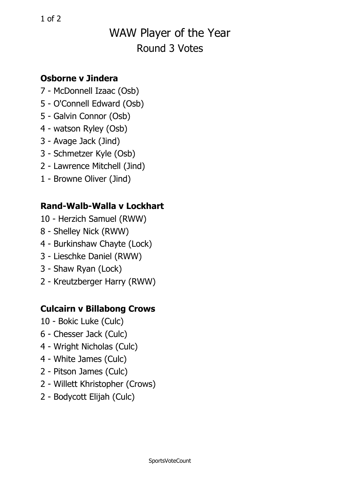# WAW Player of the Year Round 3 Votes

#### **Osborne v Jindera**

- 7 McDonnell Izaac (Osb)
- 5 O'Connell Edward (Osb)
- 5 Galvin Connor (Osb)
- 4 watson Ryley (Osb)
- 3 Avage Jack (Jind)
- 3 Schmetzer Kyle (Osb)
- 2 Lawrence Mitchell (Jind)
- 1 Browne Oliver (Jind)

### **Rand-Walb-Walla v Lockhart**

- 10 Herzich Samuel (RWW)
- 8 Shelley Nick (RWW)
- 4 Burkinshaw Chayte (Lock)
- 3 Lieschke Daniel (RWW)
- 3 Shaw Ryan (Lock)
- 2 Kreutzberger Harry (RWW)

## **Culcairn <sup>v</sup> Billabong Crows**

- 10 Bokic Luke (Culc)
- 6 Chesser Jack (Culc)
- 4 Wright Nicholas (Culc)
- 4 White James (Culc)
- 2 Pitson James (Culc)
- 2 Willett Khristopher (Crows)
- 2 Bodycott Elijah (Culc)